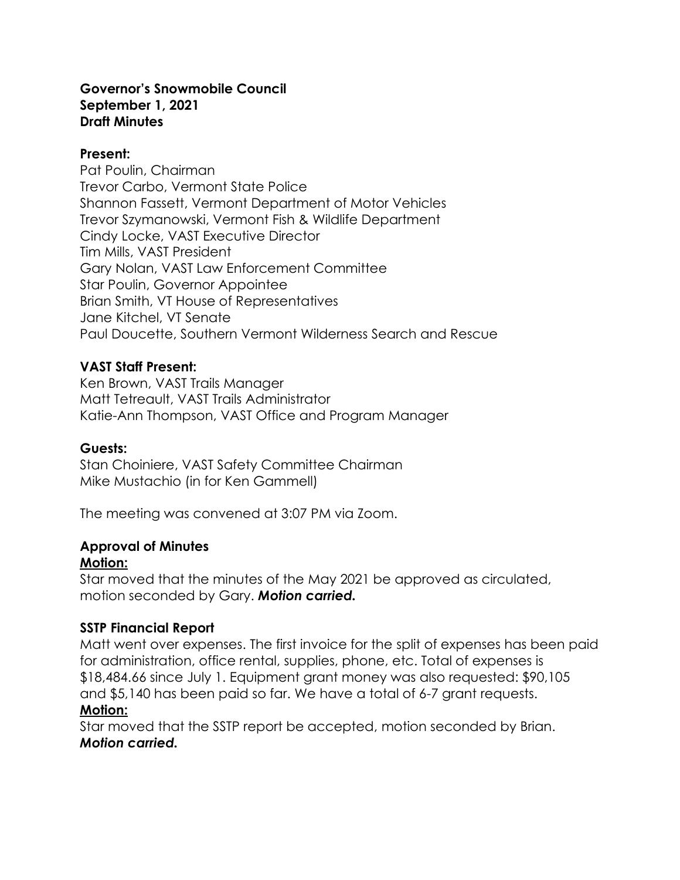#### **Governor's Snowmobile Council September 1, 2021 Draft Minutes**

#### **Present:**

Pat Poulin, Chairman Trevor Carbo, Vermont State Police Shannon Fassett, Vermont Department of Motor Vehicles Trevor Szymanowski, Vermont Fish & Wildlife Department Cindy Locke, VAST Executive Director Tim Mills, VAST President Gary Nolan, VAST Law Enforcement Committee Star Poulin, Governor Appointee Brian Smith, VT House of Representatives Jane Kitchel, VT Senate Paul Doucette, Southern Vermont Wilderness Search and Rescue

### **VAST Staff Present:**

Ken Brown, VAST Trails Manager Matt Tetreault, VAST Trails Administrator Katie-Ann Thompson, VAST Office and Program Manager

### **Guests:**

Stan Choiniere, VAST Safety Committee Chairman Mike Mustachio (in for Ken Gammell)

The meeting was convened at 3:07 PM via Zoom.

#### **Approval of Minutes Motion:**

Star moved that the minutes of the May 2021 be approved as circulated, motion seconded by Gary. *Motion carried.*

### **SSTP Financial Report**

Matt went over expenses. The first invoice for the split of expenses has been paid for administration, office rental, supplies, phone, etc. Total of expenses is \$18,484.66 since July 1. Equipment grant money was also requested: \$90,105 and \$5,140 has been paid so far. We have a total of 6-7 grant requests. **Motion:**

Star moved that the SSTP report be accepted, motion seconded by Brian. *Motion carried.*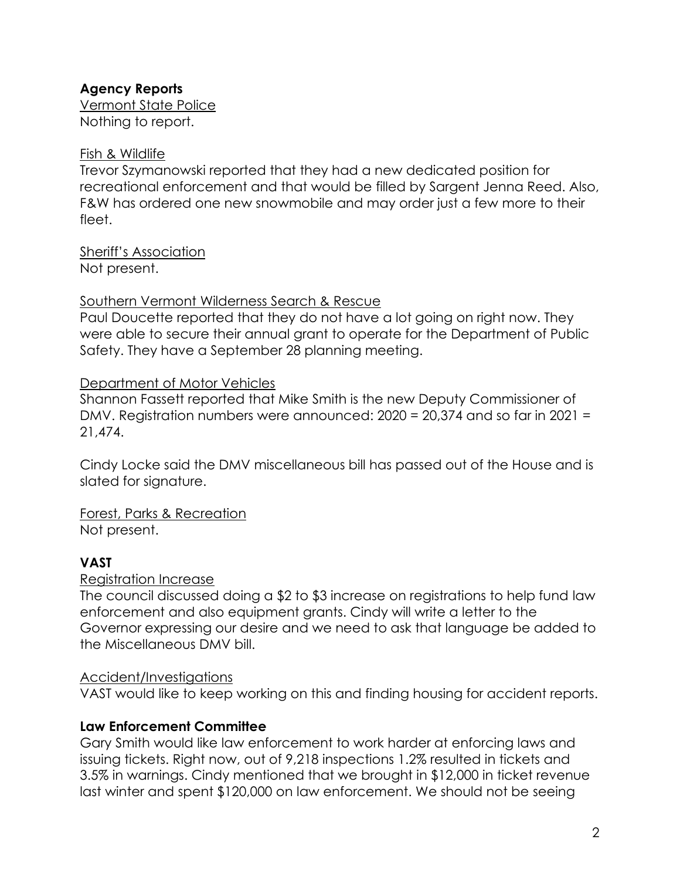# **Agency Reports**

Vermont State Police Nothing to report.

# Fish & Wildlife

Trevor Szymanowski reported that they had a new dedicated position for recreational enforcement and that would be filled by Sargent Jenna Reed. Also, F&W has ordered one new snowmobile and may order just a few more to their fleet.

Sheriff's Association Not present.

# Southern Vermont Wilderness Search & Rescue

Paul Doucette reported that they do not have a lot going on right now. They were able to secure their annual grant to operate for the Department of Public Safety. They have a September 28 planning meeting.

# Department of Motor Vehicles

Shannon Fassett reported that Mike Smith is the new Deputy Commissioner of DMV. Registration numbers were announced: 2020 = 20,374 and so far in 2021 = 21,474.

Cindy Locke said the DMV miscellaneous bill has passed out of the House and is slated for signature.

Forest, Parks & Recreation Not present.

# **VAST**

# Registration Increase

The council discussed doing a \$2 to \$3 increase on registrations to help fund law enforcement and also equipment grants. Cindy will write a letter to the Governor expressing our desire and we need to ask that language be added to the Miscellaneous DMV bill.

# Accident/Investigations

VAST would like to keep working on this and finding housing for accident reports.

# **Law Enforcement Committee**

Gary Smith would like law enforcement to work harder at enforcing laws and issuing tickets. Right now, out of 9,218 inspections 1.2% resulted in tickets and 3.5% in warnings. Cindy mentioned that we brought in \$12,000 in ticket revenue last winter and spent \$120,000 on law enforcement. We should not be seeing